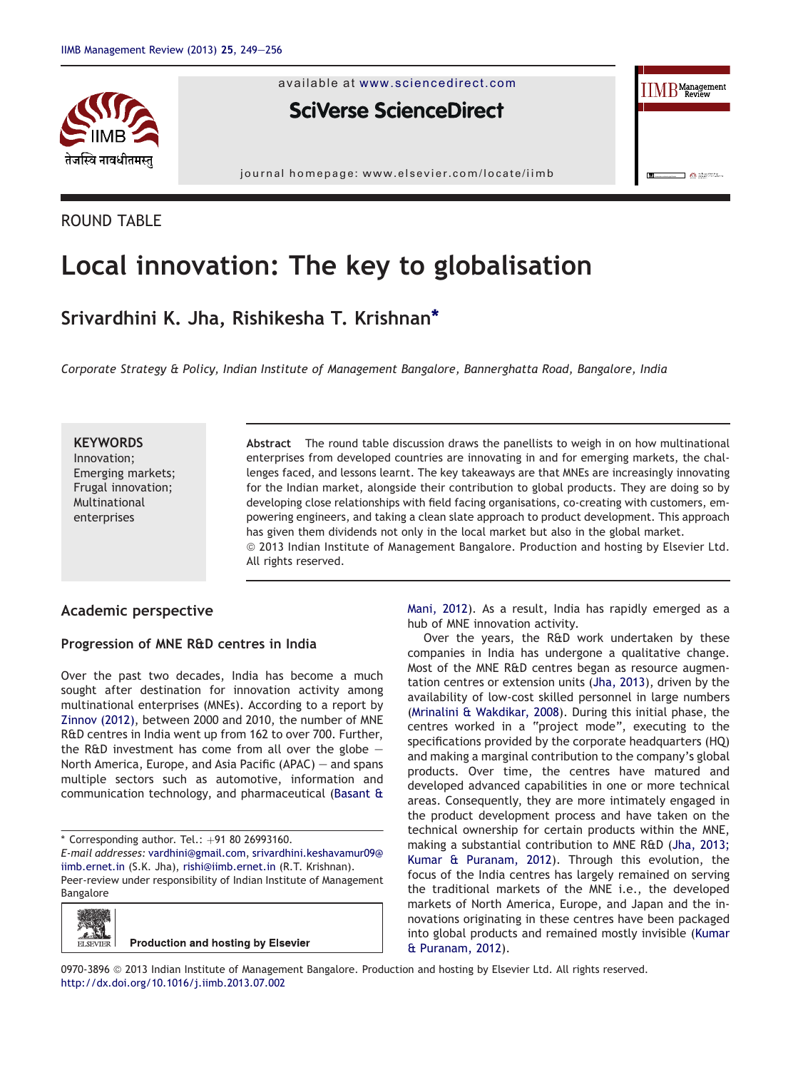

available at www.sciencedirect.com

**SciVerse ScienceDirect** 

journal homepage: www.elsevier.com/locate/iimb

ROUND TABLE

# Local innovation: The key to globalisation

Srivardhini K. Jha, Rishikesha T. Krishnan\*

Corporate Strategy & Policy, Indian Institute of Management Bangalore, Bannerghatta Road, Bangalore, India

**KEYWORDS** Innovation; Emerging markets; Frugal innovation;

Multinational enterprises

Abstract The round table discussion draws the panellists to weigh in on how multinational enterprises from developed countries are innovating in and for emerging markets, the challenges faced, and lessons learnt. The key takeaways are that MNEs are increasingly innovating for the Indian market, alongside their contribution to global products. They are doing so by developing close relationships with field facing organisations, co-creating with customers, empowering engineers, and taking a clean slate approach to product development. This approach has given them dividends not only in the local market but also in the global market. ª 2013 Indian Institute of Management Bangalore. Production and hosting by Elsevier Ltd. All rights reserved.

## Academic perspective

#### Progression of MNE R&D centres in India

Over the past two decades, India has become a much sought after destination for innovation activity among multinational enterprises (MNEs). According to a report by Zinnov (2012), between 2000 and 2010, the number of MNE R&D centres in India went up from 162 to over 700. Further, the R&D investment has come from all over the globe  $-$ North America, Europe, and Asia Pacific ( $APAC$ ) – and spans multiple sectors such as automotive, information and communication technology, and pharmaceutical (Basant &

 $*$  Corresponding author. Tel.:  $+91$  80 26993160. E-mail addresses: vardhini@gmail.com, srivardhini.keshavamur09@ iimb.ernet.in (S.K. Jha), rishi@iimb.ernet.in (R.T. Krishnan). Peer-review under responsibility of Indian Institute of Management Bangalore



Mani, 2012). As a result, India has rapidly emerged as a hub of MNE innovation activity.

 $\text{IIMB}^{\text{Management}}$ 

 $\Box$  easy

Over the years, the R&D work undertaken by these companies in India has undergone a qualitative change. Most of the MNE R&D centres began as resource augmentation centres or extension units (Jha, 2013), driven by the availability of low-cost skilled personnel in large numbers (Mrinalini & Wakdikar, 2008). During this initial phase, the centres worked in a "project mode", executing to the specifications provided by the corporate headquarters (HQ) and making a marginal contribution to the company's global products. Over time, the centres have matured and developed advanced capabilities in one or more technical areas. Consequently, they are more intimately engaged in the product development process and have taken on the technical ownership for certain products within the MNE, making a substantial contribution to MNE R&D (Jha, 2013; Kumar & Puranam, 2012). Through this evolution, the focus of the India centres has largely remained on serving the traditional markets of the MNE i.e., the developed markets of North America, Europe, and Japan and the innovations originating in these centres have been packaged into global products and remained mostly invisible (Kumar & Puranam, 2012).

0970-3896 @ 2013 Indian Institute of Management Bangalore. Production and hosting by Elsevier Ltd. All rights reserved. http://dx.doi.org/10.1016/j.iimb.2013.07.002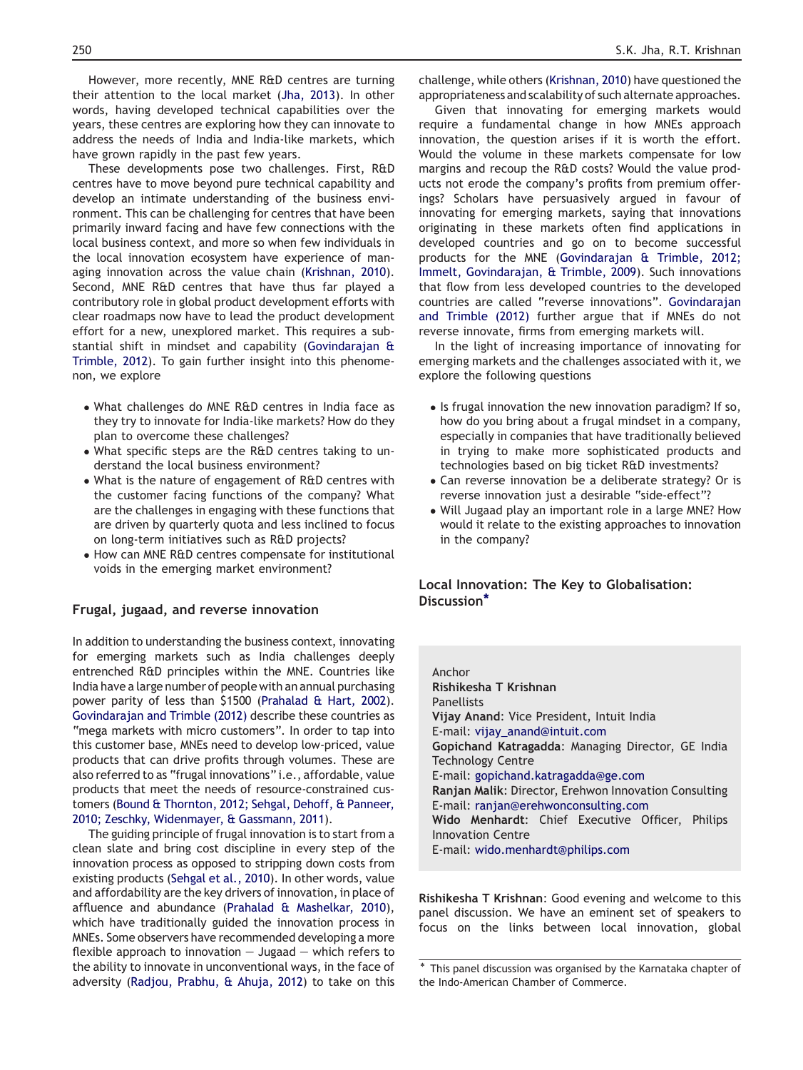However, more recently, MNE R&D centres are turning their attention to the local market (Jha, 2013). In other words, having developed technical capabilities over the years, these centres are exploring how they can innovate to address the needs of India and India-like markets, which have grown rapidly in the past few years.

These developments pose two challenges. First, R&D centres have to move beyond pure technical capability and develop an intimate understanding of the business environment. This can be challenging for centres that have been primarily inward facing and have few connections with the local business context, and more so when few individuals in the local innovation ecosystem have experience of managing innovation across the value chain (Krishnan, 2010). Second, MNE R&D centres that have thus far played a contributory role in global product development efforts with clear roadmaps now have to lead the product development effort for a new, unexplored market. This requires a substantial shift in mindset and capability (Govindarajan & Trimble, 2012). To gain further insight into this phenomenon, we explore

- What challenges do MNE R&D centres in India face as they try to innovate for India-like markets? How do they plan to overcome these challenges?
- What specific steps are the R&D centres taking to understand the local business environment?
- What is the nature of engagement of R&D centres with the customer facing functions of the company? What are the challenges in engaging with these functions that are driven by quarterly quota and less inclined to focus on long-term initiatives such as R&D projects?
- How can MNE R&D centres compensate for institutional voids in the emerging market environment?

#### Frugal, jugaad, and reverse innovation

In addition to understanding the business context, innovating for emerging markets such as India challenges deeply entrenched R&D principles within the MNE. Countries like India have a large number of people with an annual purchasing power parity of less than \$1500 (Prahalad & Hart, 2002). Govindarajan and Trimble (2012) describe these countries as "mega markets with micro customers". In order to tap into this customer base, MNEs need to develop low-priced, value products that can drive profits through volumes. These are also referred to as "frugal innovations" i.e., affordable, value products that meet the needs of resource-constrained customers (Bound & Thornton, 2012; Sehgal, Dehoff, & Panneer, 2010; Zeschky, Widenmayer, & Gassmann, 2011).

The guiding principle of frugal innovation is to start from a clean slate and bring cost discipline in every step of the innovation process as opposed to stripping down costs from existing products (Sehgal et al., 2010). In other words, value and affordability are the key drivers of innovation, in place of affluence and abundance (Prahalad & Mashelkar, 2010), which have traditionally guided the innovation process in MNEs. Some observers have recommended developing a more flexible approach to innovation  $-$  Jugaad  $-$  which refers to the ability to innovate in unconventional ways, in the face of adversity (Radjou, Prabhu, & Ahuja, 2012) to take on this challenge, while others (Krishnan, 2010) have questioned the appropriateness and scalability of such alternate approaches.

Given that innovating for emerging markets would require a fundamental change in how MNEs approach innovation, the question arises if it is worth the effort. Would the volume in these markets compensate for low margins and recoup the R&D costs? Would the value products not erode the company's profits from premium offerings? Scholars have persuasively argued in favour of innovating for emerging markets, saying that innovations originating in these markets often find applications in developed countries and go on to become successful products for the MNE (Govindarajan & Trimble, 2012; Immelt, Govindarajan, & Trimble, 2009). Such innovations that flow from less developed countries to the developed countries are called "reverse innovations". Govindarajan and Trimble (2012) further argue that if MNEs do not reverse innovate, firms from emerging markets will.

In the light of increasing importance of innovating for emerging markets and the challenges associated with it, we explore the following questions

- Is frugal innovation the new innovation paradigm? If so, how do you bring about a frugal mindset in a company, especially in companies that have traditionally believed in trying to make more sophisticated products and technologies based on big ticket R&D investments?
- Can reverse innovation be a deliberate strategy? Or is reverse innovation just a desirable "side-effect"?
- Will Jugaad play an important role in a large MNE? How would it relate to the existing approaches to innovation in the company?

Local Innovation: The Key to Globalisation: Discussion\*

Anchor Rishikesha T Krishnan Panellists Vijay Anand: Vice President, Intuit India E-mail: vijay\_anand@intuit.com Gopichand Katragadda: Managing Director, GE India Technology Centre E-mail: gopichand.katragadda@ge.com Ranjan Malik: Director, Erehwon Innovation Consulting E-mail: ranjan@erehwonconsulting.com Wido Menhardt: Chief Executive Officer, Philips Innovation Centre E-mail: wido.menhardt@philips.com

Rishikesha T Krishnan: Good evening and welcome to this panel discussion. We have an eminent set of speakers to focus on the links between local innovation, global

<sup>)</sup> This panel discussion was organised by the Karnataka chapter of the Indo-American Chamber of Commerce.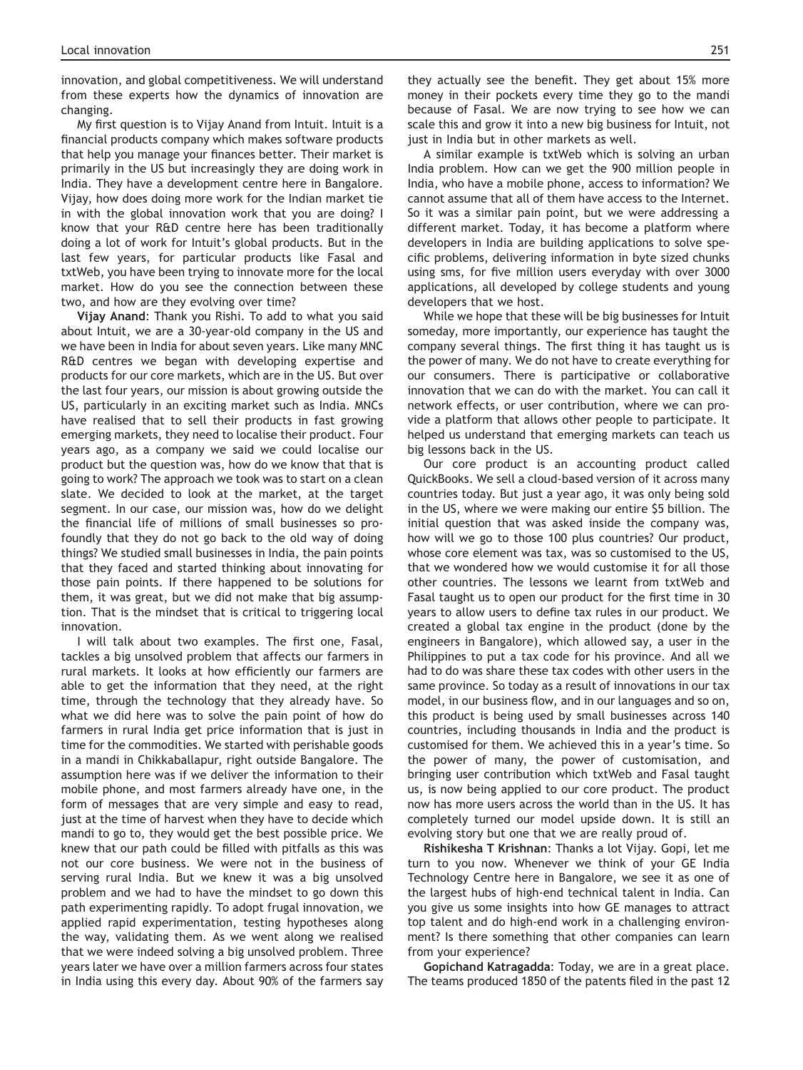innovation, and global competitiveness. We will understand from these experts how the dynamics of innovation are changing.

My first question is to Vijay Anand from Intuit. Intuit is a financial products company which makes software products that help you manage your finances better. Their market is primarily in the US but increasingly they are doing work in India. They have a development centre here in Bangalore. Vijay, how does doing more work for the Indian market tie in with the global innovation work that you are doing? I know that your R&D centre here has been traditionally doing a lot of work for Intuit's global products. But in the last few years, for particular products like Fasal and txtWeb, you have been trying to innovate more for the local market. How do you see the connection between these two, and how are they evolving over time?

Vijay Anand: Thank you Rishi. To add to what you said about Intuit, we are a 30-year-old company in the US and we have been in India for about seven years. Like many MNC R&D centres we began with developing expertise and products for our core markets, which are in the US. But over the last four years, our mission is about growing outside the US, particularly in an exciting market such as India. MNCs have realised that to sell their products in fast growing emerging markets, they need to localise their product. Four years ago, as a company we said we could localise our product but the question was, how do we know that that is going to work? The approach we took was to start on a clean slate. We decided to look at the market, at the target segment. In our case, our mission was, how do we delight the financial life of millions of small businesses so profoundly that they do not go back to the old way of doing things? We studied small businesses in India, the pain points that they faced and started thinking about innovating for those pain points. If there happened to be solutions for them, it was great, but we did not make that big assumption. That is the mindset that is critical to triggering local innovation.

I will talk about two examples. The first one, Fasal, tackles a big unsolved problem that affects our farmers in rural markets. It looks at how efficiently our farmers are able to get the information that they need, at the right time, through the technology that they already have. So what we did here was to solve the pain point of how do farmers in rural India get price information that is just in time for the commodities. We started with perishable goods in a mandi in Chikkaballapur, right outside Bangalore. The assumption here was if we deliver the information to their mobile phone, and most farmers already have one, in the form of messages that are very simple and easy to read, just at the time of harvest when they have to decide which mandi to go to, they would get the best possible price. We knew that our path could be filled with pitfalls as this was not our core business. We were not in the business of serving rural India. But we knew it was a big unsolved problem and we had to have the mindset to go down this path experimenting rapidly. To adopt frugal innovation, we applied rapid experimentation, testing hypotheses along the way, validating them. As we went along we realised that we were indeed solving a big unsolved problem. Three years later we have over a million farmers across four states in India using this every day. About 90% of the farmers say they actually see the benefit. They get about 15% more money in their pockets every time they go to the mandi because of Fasal. We are now trying to see how we can scale this and grow it into a new big business for Intuit, not just in India but in other markets as well.

A similar example is txtWeb which is solving an urban India problem. How can we get the 900 million people in India, who have a mobile phone, access to information? We cannot assume that all of them have access to the Internet. So it was a similar pain point, but we were addressing a different market. Today, it has become a platform where developers in India are building applications to solve specific problems, delivering information in byte sized chunks using sms, for five million users everyday with over 3000 applications, all developed by college students and young developers that we host.

While we hope that these will be big businesses for Intuit someday, more importantly, our experience has taught the company several things. The first thing it has taught us is the power of many. We do not have to create everything for our consumers. There is participative or collaborative innovation that we can do with the market. You can call it network effects, or user contribution, where we can provide a platform that allows other people to participate. It helped us understand that emerging markets can teach us big lessons back in the US.

Our core product is an accounting product called QuickBooks. We sell a cloud-based version of it across many countries today. But just a year ago, it was only being sold in the US, where we were making our entire \$5 billion. The initial question that was asked inside the company was, how will we go to those 100 plus countries? Our product, whose core element was tax, was so customised to the US, that we wondered how we would customise it for all those other countries. The lessons we learnt from txtWeb and Fasal taught us to open our product for the first time in 30 years to allow users to define tax rules in our product. We created a global tax engine in the product (done by the engineers in Bangalore), which allowed say, a user in the Philippines to put a tax code for his province. And all we had to do was share these tax codes with other users in the same province. So today as a result of innovations in our tax model, in our business flow, and in our languages and so on, this product is being used by small businesses across 140 countries, including thousands in India and the product is customised for them. We achieved this in a year's time. So the power of many, the power of customisation, and bringing user contribution which txtWeb and Fasal taught us, is now being applied to our core product. The product now has more users across the world than in the US. It has completely turned our model upside down. It is still an evolving story but one that we are really proud of.

Rishikesha T Krishnan: Thanks a lot Vijay. Gopi, let me turn to you now. Whenever we think of your GE India Technology Centre here in Bangalore, we see it as one of the largest hubs of high-end technical talent in India. Can you give us some insights into how GE manages to attract top talent and do high-end work in a challenging environment? Is there something that other companies can learn from your experience?

Gopichand Katragadda: Today, we are in a great place. The teams produced 1850 of the patents filed in the past 12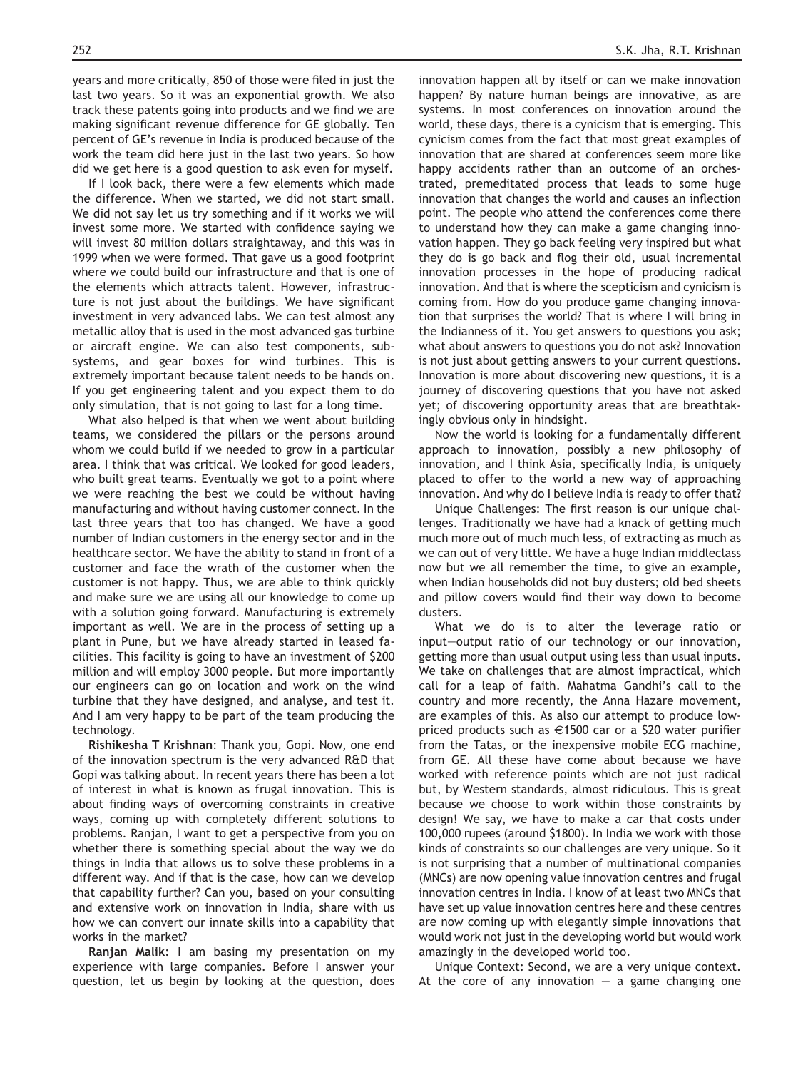years and more critically, 850 of those were filed in just the last two years. So it was an exponential growth. We also track these patents going into products and we find we are making significant revenue difference for GE globally. Ten percent of GE's revenue in India is produced because of the work the team did here just in the last two years. So how did we get here is a good question to ask even for myself.

If I look back, there were a few elements which made the difference. When we started, we did not start small. We did not say let us try something and if it works we will invest some more. We started with confidence saying we will invest 80 million dollars straightaway, and this was in 1999 when we were formed. That gave us a good footprint where we could build our infrastructure and that is one of the elements which attracts talent. However, infrastructure is not just about the buildings. We have significant investment in very advanced labs. We can test almost any metallic alloy that is used in the most advanced gas turbine or aircraft engine. We can also test components, subsystems, and gear boxes for wind turbines. This is extremely important because talent needs to be hands on. If you get engineering talent and you expect them to do only simulation, that is not going to last for a long time.

What also helped is that when we went about building teams, we considered the pillars or the persons around whom we could build if we needed to grow in a particular area. I think that was critical. We looked for good leaders, who built great teams. Eventually we got to a point where we were reaching the best we could be without having manufacturing and without having customer connect. In the last three years that too has changed. We have a good number of Indian customers in the energy sector and in the healthcare sector. We have the ability to stand in front of a customer and face the wrath of the customer when the customer is not happy. Thus, we are able to think quickly and make sure we are using all our knowledge to come up with a solution going forward. Manufacturing is extremely important as well. We are in the process of setting up a plant in Pune, but we have already started in leased facilities. This facility is going to have an investment of \$200 million and will employ 3000 people. But more importantly our engineers can go on location and work on the wind turbine that they have designed, and analyse, and test it. And I am very happy to be part of the team producing the technology.

Rishikesha T Krishnan: Thank you, Gopi. Now, one end of the innovation spectrum is the very advanced R&D that Gopi was talking about. In recent years there has been a lot of interest in what is known as frugal innovation. This is about finding ways of overcoming constraints in creative ways, coming up with completely different solutions to problems. Ranjan, I want to get a perspective from you on whether there is something special about the way we do things in India that allows us to solve these problems in a different way. And if that is the case, how can we develop that capability further? Can you, based on your consulting and extensive work on innovation in India, share with us how we can convert our innate skills into a capability that works in the market?

Ranjan Malik: I am basing my presentation on my experience with large companies. Before I answer your question, let us begin by looking at the question, does

innovation happen all by itself or can we make innovation happen? By nature human beings are innovative, as are systems. In most conferences on innovation around the world, these days, there is a cynicism that is emerging. This cynicism comes from the fact that most great examples of innovation that are shared at conferences seem more like happy accidents rather than an outcome of an orchestrated, premeditated process that leads to some huge innovation that changes the world and causes an inflection point. The people who attend the conferences come there to understand how they can make a game changing innovation happen. They go back feeling very inspired but what they do is go back and flog their old, usual incremental innovation processes in the hope of producing radical innovation. And that is where the scepticism and cynicism is coming from. How do you produce game changing innovation that surprises the world? That is where I will bring in the Indianness of it. You get answers to questions you ask; what about answers to questions you do not ask? Innovation is not just about getting answers to your current questions. Innovation is more about discovering new questions, it is a journey of discovering questions that you have not asked yet; of discovering opportunity areas that are breathtakingly obvious only in hindsight.

Now the world is looking for a fundamentally different approach to innovation, possibly a new philosophy of innovation, and I think Asia, specifically India, is uniquely placed to offer to the world a new way of approaching innovation. And why do I believe India is ready to offer that?

Unique Challenges: The first reason is our unique challenges. Traditionally we have had a knack of getting much much more out of much much less, of extracting as much as we can out of very little. We have a huge Indian middleclass now but we all remember the time, to give an example, when Indian households did not buy dusters; old bed sheets and pillow covers would find their way down to become dusters.

What we do is to alter the leverage ratio or  $input$ -output ratio of our technology or our innovation, getting more than usual output using less than usual inputs. We take on challenges that are almost impractical, which call for a leap of faith. Mahatma Gandhi's call to the country and more recently, the Anna Hazare movement, are examples of this. As also our attempt to produce lowpriced products such as  $\in$ 1500 car or a \$20 water purifier from the Tatas, or the inexpensive mobile ECG machine, from GE. All these have come about because we have worked with reference points which are not just radical but, by Western standards, almost ridiculous. This is great because we choose to work within those constraints by design! We say, we have to make a car that costs under 100,000 rupees (around \$1800). In India we work with those kinds of constraints so our challenges are very unique. So it is not surprising that a number of multinational companies (MNCs) are now opening value innovation centres and frugal innovation centres in India. I know of at least two MNCs that have set up value innovation centres here and these centres are now coming up with elegantly simple innovations that would work not just in the developing world but would work amazingly in the developed world too.

Unique Context: Second, we are a very unique context. At the core of any innovation  $-$  a game changing one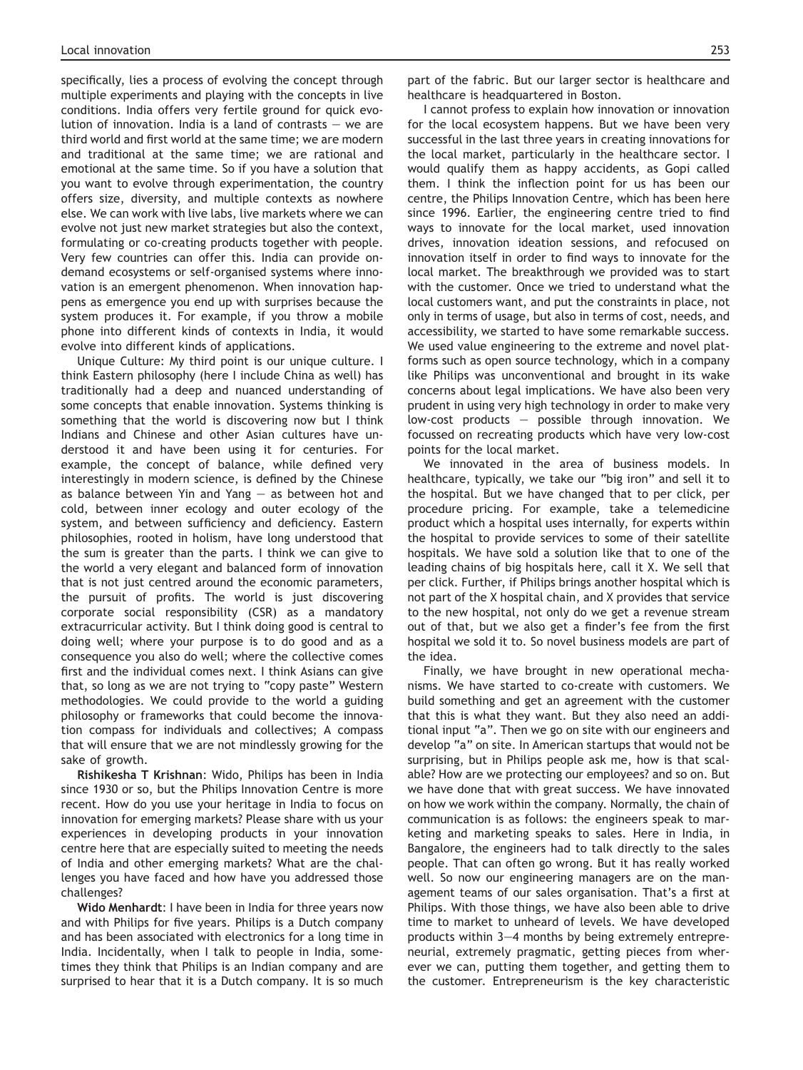specifically, lies a process of evolving the concept through multiple experiments and playing with the concepts in live conditions. India offers very fertile ground for quick evolution of innovation. India is a land of contrasts  $-$  we are third world and first world at the same time; we are modern and traditional at the same time; we are rational and emotional at the same time. So if you have a solution that you want to evolve through experimentation, the country offers size, diversity, and multiple contexts as nowhere else. We can work with live labs, live markets where we can evolve not just new market strategies but also the context, formulating or co-creating products together with people. Very few countries can offer this. India can provide ondemand ecosystems or self-organised systems where innovation is an emergent phenomenon. When innovation happens as emergence you end up with surprises because the system produces it. For example, if you throw a mobile phone into different kinds of contexts in India, it would evolve into different kinds of applications.

Unique Culture: My third point is our unique culture. I think Eastern philosophy (here I include China as well) has traditionally had a deep and nuanced understanding of some concepts that enable innovation. Systems thinking is something that the world is discovering now but I think Indians and Chinese and other Asian cultures have understood it and have been using it for centuries. For example, the concept of balance, while defined very interestingly in modern science, is defined by the Chinese as balance between Yin and Yang  $-$  as between hot and cold, between inner ecology and outer ecology of the system, and between sufficiency and deficiency. Eastern philosophies, rooted in holism, have long understood that the sum is greater than the parts. I think we can give to the world a very elegant and balanced form of innovation that is not just centred around the economic parameters, the pursuit of profits. The world is just discovering corporate social responsibility (CSR) as a mandatory extracurricular activity. But I think doing good is central to doing well; where your purpose is to do good and as a consequence you also do well; where the collective comes first and the individual comes next. I think Asians can give that, so long as we are not trying to "copy paste" Western methodologies. We could provide to the world a guiding philosophy or frameworks that could become the innovation compass for individuals and collectives; A compass that will ensure that we are not mindlessly growing for the sake of growth.

Rishikesha T Krishnan: Wido, Philips has been in India since 1930 or so, but the Philips Innovation Centre is more recent. How do you use your heritage in India to focus on innovation for emerging markets? Please share with us your experiences in developing products in your innovation centre here that are especially suited to meeting the needs of India and other emerging markets? What are the challenges you have faced and how have you addressed those challenges?

Wido Menhardt: I have been in India for three years now and with Philips for five years. Philips is a Dutch company and has been associated with electronics for a long time in India. Incidentally, when I talk to people in India, sometimes they think that Philips is an Indian company and are surprised to hear that it is a Dutch company. It is so much part of the fabric. But our larger sector is healthcare and healthcare is headquartered in Boston.

I cannot profess to explain how innovation or innovation for the local ecosystem happens. But we have been very successful in the last three years in creating innovations for the local market, particularly in the healthcare sector. I would qualify them as happy accidents, as Gopi called them. I think the inflection point for us has been our centre, the Philips Innovation Centre, which has been here since 1996. Earlier, the engineering centre tried to find ways to innovate for the local market, used innovation drives, innovation ideation sessions, and refocused on innovation itself in order to find ways to innovate for the local market. The breakthrough we provided was to start with the customer. Once we tried to understand what the local customers want, and put the constraints in place, not only in terms of usage, but also in terms of cost, needs, and accessibility, we started to have some remarkable success. We used value engineering to the extreme and novel platforms such as open source technology, which in a company like Philips was unconventional and brought in its wake concerns about legal implications. We have also been very prudent in using very high technology in order to make very low-cost products  $-$  possible through innovation. We focussed on recreating products which have very low-cost points for the local market.

We innovated in the area of business models. In healthcare, typically, we take our "big iron" and sell it to the hospital. But we have changed that to per click, per procedure pricing. For example, take a telemedicine product which a hospital uses internally, for experts within the hospital to provide services to some of their satellite hospitals. We have sold a solution like that to one of the leading chains of big hospitals here, call it X. We sell that per click. Further, if Philips brings another hospital which is not part of the X hospital chain, and X provides that service to the new hospital, not only do we get a revenue stream out of that, but we also get a finder's fee from the first hospital we sold it to. So novel business models are part of the idea.

Finally, we have brought in new operational mechanisms. We have started to co-create with customers. We build something and get an agreement with the customer that this is what they want. But they also need an additional input "a". Then we go on site with our engineers and develop "a" on site. In American startups that would not be surprising, but in Philips people ask me, how is that scalable? How are we protecting our employees? and so on. But we have done that with great success. We have innovated on how we work within the company. Normally, the chain of communication is as follows: the engineers speak to marketing and marketing speaks to sales. Here in India, in Bangalore, the engineers had to talk directly to the sales people. That can often go wrong. But it has really worked well. So now our engineering managers are on the management teams of our sales organisation. That's a first at Philips. With those things, we have also been able to drive time to market to unheard of levels. We have developed products within  $3-4$  months by being extremely entrepreneurial, extremely pragmatic, getting pieces from wherever we can, putting them together, and getting them to the customer. Entrepreneurism is the key characteristic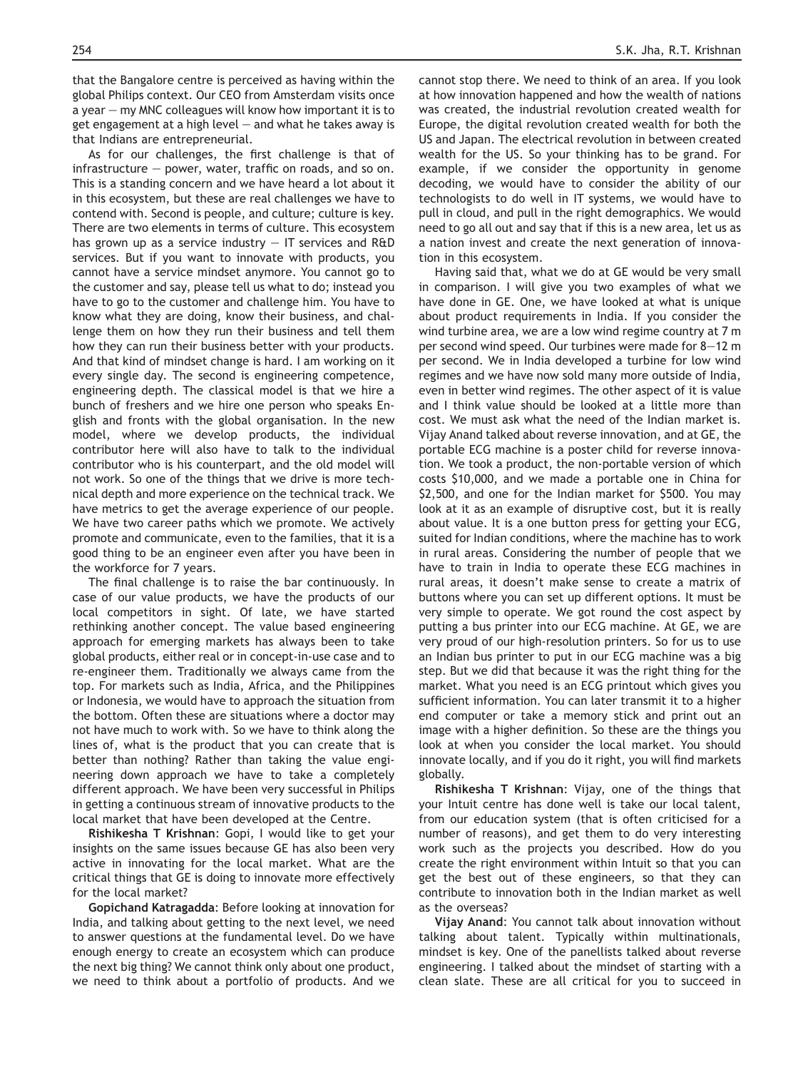that the Bangalore centre is perceived as having within the global Philips context. Our CEO from Amsterdam visits once a year  $-$  my MNC colleagues will know how important it is to get engagement at a high level  $-$  and what he takes away is that Indians are entrepreneurial.

As for our challenges, the first challenge is that of infrastructure  $-$  power, water, traffic on roads, and so on. This is a standing concern and we have heard a lot about it in this ecosystem, but these are real challenges we have to contend with. Second is people, and culture; culture is key. There are two elements in terms of culture. This ecosystem has grown up as a service industry  $-$  IT services and R&D services. But if you want to innovate with products, you cannot have a service mindset anymore. You cannot go to the customer and say, please tell us what to do; instead you have to go to the customer and challenge him. You have to know what they are doing, know their business, and challenge them on how they run their business and tell them how they can run their business better with your products. And that kind of mindset change is hard. I am working on it every single day. The second is engineering competence, engineering depth. The classical model is that we hire a bunch of freshers and we hire one person who speaks English and fronts with the global organisation. In the new model, where we develop products, the individual contributor here will also have to talk to the individual contributor who is his counterpart, and the old model will not work. So one of the things that we drive is more technical depth and more experience on the technical track. We have metrics to get the average experience of our people. We have two career paths which we promote. We actively promote and communicate, even to the families, that it is a good thing to be an engineer even after you have been in the workforce for 7 years.

The final challenge is to raise the bar continuously. In case of our value products, we have the products of our local competitors in sight. Of late, we have started rethinking another concept. The value based engineering approach for emerging markets has always been to take global products, either real or in concept-in-use case and to re-engineer them. Traditionally we always came from the top. For markets such as India, Africa, and the Philippines or Indonesia, we would have to approach the situation from the bottom. Often these are situations where a doctor may not have much to work with. So we have to think along the lines of, what is the product that you can create that is better than nothing? Rather than taking the value engineering down approach we have to take a completely different approach. We have been very successful in Philips in getting a continuous stream of innovative products to the local market that have been developed at the Centre.

Rishikesha T Krishnan: Gopi, I would like to get your insights on the same issues because GE has also been very active in innovating for the local market. What are the critical things that GE is doing to innovate more effectively for the local market?

Gopichand Katragadda: Before looking at innovation for India, and talking about getting to the next level, we need to answer questions at the fundamental level. Do we have enough energy to create an ecosystem which can produce the next big thing? We cannot think only about one product, we need to think about a portfolio of products. And we cannot stop there. We need to think of an area. If you look at how innovation happened and how the wealth of nations was created, the industrial revolution created wealth for Europe, the digital revolution created wealth for both the US and Japan. The electrical revolution in between created wealth for the US. So your thinking has to be grand. For example, if we consider the opportunity in genome decoding, we would have to consider the ability of our technologists to do well in IT systems, we would have to pull in cloud, and pull in the right demographics. We would need to go all out and say that if this is a new area, let us as a nation invest and create the next generation of innovation in this ecosystem.

Having said that, what we do at GE would be very small in comparison. I will give you two examples of what we have done in GE. One, we have looked at what is unique about product requirements in India. If you consider the wind turbine area, we are a low wind regime country at 7 m per second wind speed. Our turbines were made for  $8-12$  m per second. We in India developed a turbine for low wind regimes and we have now sold many more outside of India, even in better wind regimes. The other aspect of it is value and I think value should be looked at a little more than cost. We must ask what the need of the Indian market is. Vijay Anand talked about reverse innovation, and at GE, the portable ECG machine is a poster child for reverse innovation. We took a product, the non-portable version of which costs \$10,000, and we made a portable one in China for \$2,500, and one for the Indian market for \$500. You may look at it as an example of disruptive cost, but it is really about value. It is a one button press for getting your ECG, suited for Indian conditions, where the machine has to work in rural areas. Considering the number of people that we have to train in India to operate these ECG machines in rural areas, it doesn't make sense to create a matrix of buttons where you can set up different options. It must be very simple to operate. We got round the cost aspect by putting a bus printer into our ECG machine. At GE, we are very proud of our high-resolution printers. So for us to use an Indian bus printer to put in our ECG machine was a big step. But we did that because it was the right thing for the market. What you need is an ECG printout which gives you sufficient information. You can later transmit it to a higher end computer or take a memory stick and print out an image with a higher definition. So these are the things you look at when you consider the local market. You should innovate locally, and if you do it right, you will find markets globally.

Rishikesha T Krishnan: Vijay, one of the things that your Intuit centre has done well is take our local talent, from our education system (that is often criticised for a number of reasons), and get them to do very interesting work such as the projects you described. How do you create the right environment within Intuit so that you can get the best out of these engineers, so that they can contribute to innovation both in the Indian market as well as the overseas?

Vijay Anand: You cannot talk about innovation without talking about talent. Typically within multinationals, mindset is key. One of the panellists talked about reverse engineering. I talked about the mindset of starting with a clean slate. These are all critical for you to succeed in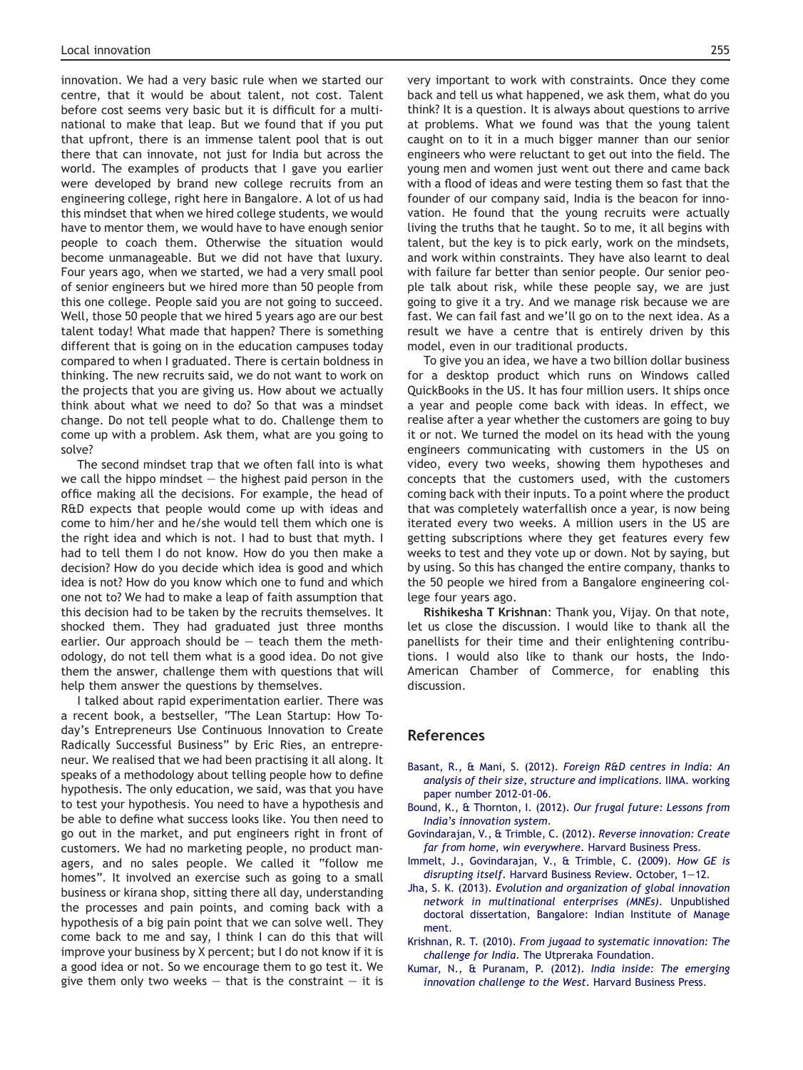innovation. We had a very basic rule when we started our centre, that it would be about talent, not cost. Talent before cost seems very basic but it is difficult for a multinational to make that leap. But we found that if you put that upfront, there is an immense talent pool that is out there that can innovate, not just for India but across the world. The examples of products that I gave you earlier were developed by brand new college recruits from an engineering college, right here in Bangalore. A lot of us had this mindset that when we hired college students, we would have to mentor them, we would have to have enough senior people to coach them. Otherwise the situation would become unmanageable. But we did not have that luxury. Four years ago, when we started, we had a very small pool of senior engineers but we hired more than 50 people from this one college. People said you are not going to succeed. Well, those 50 people that we hired 5 years ago are our best talent today! What made that happen? There is something different that is going on in the education campuses today compared to when I graduated. There is certain boldness in thinking. The new recruits said, we do not want to work on the projects that you are giving us. How about we actually think about what we need to do? So that was a mindset change. Do not tell people what to do. Challenge them to come up with a problem. Ask them, what are you going to solve?

The second mindset trap that we often fall into is what we call the hippo mindset  $-$  the highest paid person in the office making all the decisions. For example, the head of R&D expects that people would come up with ideas and come to him/her and he/she would tell them which one is the right idea and which is not. I had to bust that myth. I had to tell them I do not know. How do you then make a decision? How do you decide which idea is good and which idea is not? How do you know which one to fund and which one not to? We had to make a leap of faith assumption that this decision had to be taken by the recruits themselves. It shocked them. They had graduated just three months earlier. Our approach should be  $-$  teach them the methodology, do not tell them what is a good idea. Do not give them the answer, challenge them with questions that will help them answer the questions by themselves.

I talked about rapid experimentation earlier. There was a recent book, a bestseller, "The Lean Startup: How Today's Entrepreneurs Use Continuous Innovation to Create Radically Successful Business" by Eric Ries, an entrepreneur. We realised that we had been practising it all along. It speaks of a methodology about telling people how to define hypothesis. The only education, we said, was that you have to test your hypothesis. You need to have a hypothesis and be able to define what success looks like. You then need to go out in the market, and put engineers right in front of customers. We had no marketing people, no product managers, and no sales people. We called it "follow me homes". It involved an exercise such as going to a small business or kirana shop, sitting there all day, understanding the processes and pain points, and coming back with a hypothesis of a big pain point that we can solve well. They come back to me and say, I think I can do this that will improve your business by X percent; but I do not know if it is a good idea or not. So we encourage them to go test it. We give them only two weeks  $-$  that is the constraint  $-$  it is very important to work with constraints. Once they come back and tell us what happened, we ask them, what do you think? It is a question. It is always about questions to arrive at problems. What we found was that the young talent caught on to it in a much bigger manner than our senior engineers who were reluctant to get out into the field. The young men and women just went out there and came back with a flood of ideas and were testing them so fast that the founder of our company said, India is the beacon for innovation. He found that the young recruits were actually living the truths that he taught. So to me, it all begins with talent, but the key is to pick early, work on the mindsets, and work within constraints. They have also learnt to deal with failure far better than senior people. Our senior people talk about risk, while these people say, we are just going to give it a try. And we manage risk because we are fast. We can fail fast and we'll go on to the next idea. As a result we have a centre that is entirely driven by this model, even in our traditional products.

To give you an idea, we have a two billion dollar business for a desktop product which runs on Windows called QuickBooks in the US. It has four million users. It ships once a year and people come back with ideas. In effect, we realise after a year whether the customers are going to buy it or not. We turned the model on its head with the young engineers communicating with customers in the US on video, every two weeks, showing them hypotheses and concepts that the customers used, with the customers coming back with their inputs. To a point where the product that was completely waterfallish once a year, is now being iterated every two weeks. A million users in the US are getting subscriptions where they get features every few weeks to test and they vote up or down. Not by saying, but by using. So this has changed the entire company, thanks to the 50 people we hired from a Bangalore engineering college four years ago.

Rishikesha T Krishnan: Thank you, Vijay. On that note, let us close the discussion. I would like to thank all the panellists for their time and their enlightening contributions. I would also like to thank our hosts, the Indo-American Chamber of Commerce, for enabling this discussion.

### References

- Basant, R., & Mani, S. (2012). Foreign R&D centres in India: An analysis of their size, structure and implications. IIMA. working paper number 2012-01-06.
- Bound, K., & Thornton, I. (2012). Our frugal future: Lessons from India's innovation system.
- Govindarajan, V., & Trimble, C. (2012). Reverse innovation: Create far from home, win everywhere. Harvard Business Press.
- Immelt, J., Govindarajan, V., & Trimble, C. (2009). How GE is disrupting itself. Harvard Business Review. October,  $1-12$ .
- Jha, S. K. (2013). Evolution and organization of global innovation network in multinational enterprises (MNEs). Unpublished doctoral dissertation, Bangalore: Indian Institute of Manage ment.
- Krishnan, R. T. (2010). From jugaad to systematic innovation: The challenge for India. The Utpreraka Foundation.
- Kumar, N., & Puranam, P. (2012). India inside: The emerging innovation challenge to the West. Harvard Business Press.